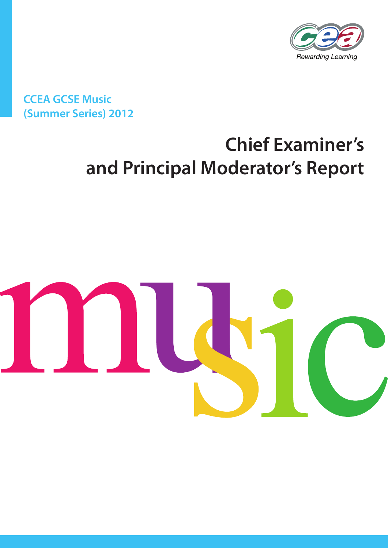

**CCEA GCSE Music (Summer Series) 2012**

# **Chief Examiner's and Principal Moderator's Report**

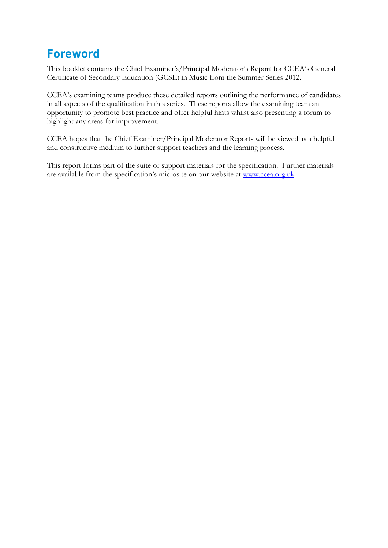# **Foreword**

This booklet contains the Chief Examiner's/Principal Moderator's Report for CCEA's General Certificate of Secondary Education (GCSE) in Music from the Summer Series 2012.

CCEA's examining teams produce these detailed reports outlining the performance of candidates in all aspects of the qualification in this series. These reports allow the examining team an opportunity to promote best practice and offer helpful hints whilst also presenting a forum to highlight any areas for improvement.

CCEA hopes that the Chief Examiner/Principal Moderator Reports will be viewed as a helpful and constructive medium to further support teachers and the learning process.

This report forms part of the suite of support materials for the specification. Further materials are available from the specification's microsite on our website at www.ccea.org.uk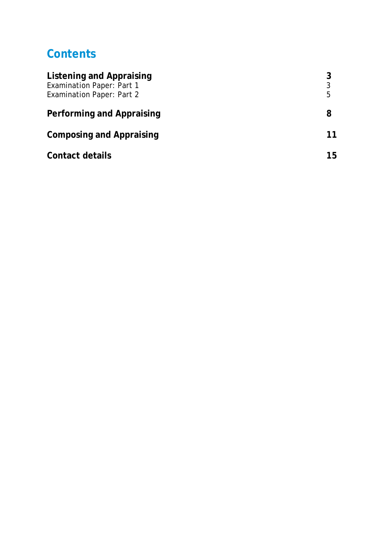# **Contents**

| <b>Listening and Appraising</b><br><b>Examination Paper: Part 1</b><br><b>Examination Paper: Part 2</b> | 3<br>5 |
|---------------------------------------------------------------------------------------------------------|--------|
| Performing and Appraising                                                                               | 8      |
| <b>Composing and Appraising</b>                                                                         | 11     |
| <b>Contact details</b>                                                                                  | 15     |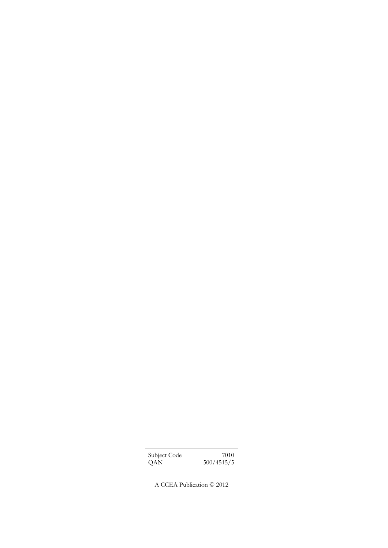| Subject Code | 7010                      |
|--------------|---------------------------|
| QAN          | 500/4515/5                |
|              | A CCEA Publication © 2012 |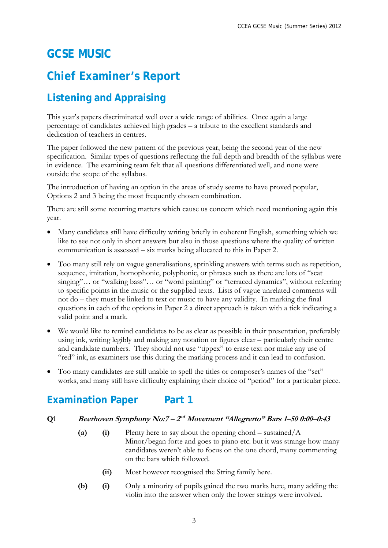# **GCSE MUSIC**

# **Chief Examiner's Report**

# **Listening and Appraising**

This year's papers discriminated well over a wide range of abilities. Once again a large percentage of candidates achieved high grades – a tribute to the excellent standards and dedication of teachers in centres.

The paper followed the new pattern of the previous year, being the second year of the new specification. Similar types of questions reflecting the full depth and breadth of the syllabus were in evidence. The examining team felt that all questions differentiated well, and none were outside the scope of the syllabus.

The introduction of having an option in the areas of study seems to have proved popular, Options 2 and 3 being the most frequently chosen combination.

There are still some recurring matters which cause us concern which need mentioning again this year.

- Many candidates still have difficulty writing briefly in coherent English, something which we like to see not only in short answers but also in those questions where the quality of written communication is assessed – six marks being allocated to this in Paper 2.
- Too many still rely on vague generalisations, sprinkling answers with terms such as repetition, sequence, imitation, homophonic, polyphonic, or phrases such as there are lots of "scat singing"... or "walking bass"... or "word painting" or "terraced dynamics", without referring to specific points in the music or the supplied texts. Lists of vague unrelated comments will not do – they must be linked to text or music to have any validity. In marking the final questions in each of the options in Paper 2 a direct approach is taken with a tick indicating a valid point and a mark.
- We would like to remind candidates to be as clear as possible in their presentation, preferably using ink, writing legibly and making any notation or figures clear – particularly their centre and candidate numbers. They should not use "tippex" to erase text nor make any use of "red" ink, as examiners use this during the marking process and it can lead to confusion.
- Too many candidates are still unable to spell the titles or composer's names of the "set" works, and many still have difficulty explaining their choice of "period" for a particular piece.

# **Examination Paper Part 1**

#### **Q1 Beethoven Symphony No:7 – 2nd Movement "Allegretto" Bars 1–50 0:00–0:43**

- **(a) (i)** Plenty here to say about the opening chord sustained/A Minor/began forte and goes to piano etc. but it was strange how many candidates weren't able to focus on the one chord, many commenting on the bars which followed.
	- **(ii)** Most however recognised the String family here.
- **(b) (i)** Only a minority of pupils gained the two marks here, many adding the violin into the answer when only the lower strings were involved.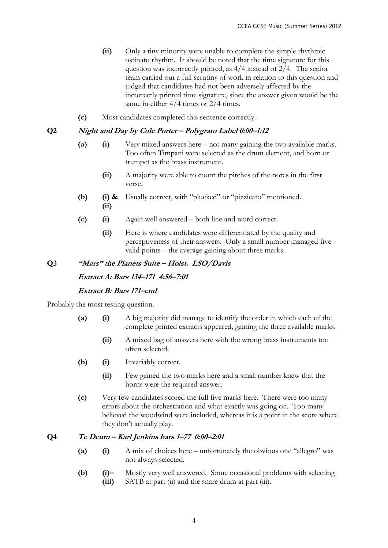- **(ii)** Only a tiny minority were unable to complete the simple rhythmic ostinato rhythm. It should be noted that the time signature for this question was incorrectly printed, as 4/4 instead of 2/4. The senior team carried out a full scrutiny of work in relation to this question and judged that candidates had not been adversely affected by the incorrectly printed time signature, since the answer given would be the same in either  $4/4$  times or  $2/4$  times.
- **(c)** Most candidates completed this sentence correctly.

#### **Q2 Night and Day by Cole Porter – Polygram Label 0:00–1:12**

- **(a) (i)** Very mixed answers here not many gaining the two available marks. Too often Timpani were selected as the drum element, and horn or trumpet as the brass instrument.
	- **(ii)** A majority were able to count the pitches of the notes in the first verse.
- **(b) (i) & (ii)**  Usually correct, with "plucked" or "pizzicato" mentioned.
- **(c) (i)** Again well answered both line and word correct.
	- **(ii)** Here is where candidates were differentiated by the quality and perceptiveness of their answers. Only a small number managed five valid points – the average gaining about three marks.

#### **Q3 "Mars" the Planets Suite – Holst. LSO/Davis**

**Extract A: Bars 134–171 4:56–7:01** 

#### **Extract B: Bars 171–end**

Probably the most testing question.

- **(a) (i)** A big majority did manage to identify the order in which each of the complete printed extracts appeared, gaining the three available marks.
	- **(ii)** A mixed bag of answers here with the wrong brass instruments too often selected.
- **(b) (i)** Invariably correct.
	- **(ii)** Few gained the two marks here and a small number knew that the horns were the required answer.
- **(c)** Very few candidates scored the full five marks here. There were too many errors about the orchestration and what exactly was going on. Too many believed the woodwind were included, whereas it is a point in the score where they don't actually play.

#### **Q4 Te Deum – Karl Jenkins bars 1–77 0:00–2:01**

- **(a) (i)** A mix of choices here unfortunately the obvious one "allegro" was not always selected.
- **(b) (i)– (iii)**  Mostly very well answered. Some occasional problems with selecting SATB at part (ii) and the snare drum at part (iii).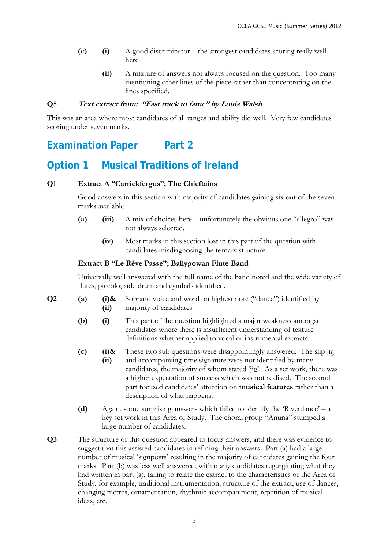- **(c) (i)** A good discriminator the strongest candidates scoring really well here.
	- **(ii)** A mixture of answers not always focused on the question. Too many mentioning other lines of the piece rather than concentrating on the lines specified.

#### **Q5 Text extract from: "Fast track to fame" by Louis Walsh**

This was an area where most candidates of all ranges and ability did well. Very few candidates scoring under seven marks.

### **Examination Paper Part 2**

### **Option 1 Musical Traditions of Ireland**

#### **Q1 Extract A "Carrickfergus"; The Chieftains**

Good answers in this section with majority of candidates gaining six out of the seven marks available.

- **(a) (iii)** A mix of choices here unfortunately the obvious one "allegro" was not always selected.
	- **(iv)** Most marks in this section lost in this part of the question with candidates misdiagnosing the ternary structure.

#### **Extract B "Le Rêve Passe"; Ballygowan Flute Band**

Universally well answered with the full name of the band noted and the wide variety of flutes, piccolo, side drum and cymbals identified.

- **Q2 (a) (i)& (ii)**  Soprano voice and word on highest note ("dance") identified by majority of candidates
	- **(b) (i)** This part of the question highlighted a major weakness amongst candidates where there is insufficient understanding of texture definitions whether applied to vocal or instrumental extracts.
	- **(c) (i)& (ii)**  These two sub questions were disappointingly answered. The slip jig and accompanying time signature were not identified by many candidates, the majority of whom stated 'jig'. As a set work, there was a higher expectation of success which was not realised. The second part focused candidates' attention on **musical features** rather than a description of what happens.
	- **(d)** Again, some surprising answers which failed to identify the 'Riverdance' a key set work in this Area of Study. The choral group "Anuna" stumped a large number of candidates.
- **Q3** The structure of this question appeared to focus answers, and there was evidence to suggest that this assisted candidates in refining their answers. Part (a) had a large number of musical 'signposts' resulting in the majority of candidates gaining the four marks. Part (b) was less well answered, with many candidates regurgitating what they had written in part (a), failing to relate the extract to the characteristics of the Area of Study, for example, traditional instrumentation, structure of the extract, use of dances, changing metres, ornamentation, rhythmic accompaniment, repetition of musical ideas, etc.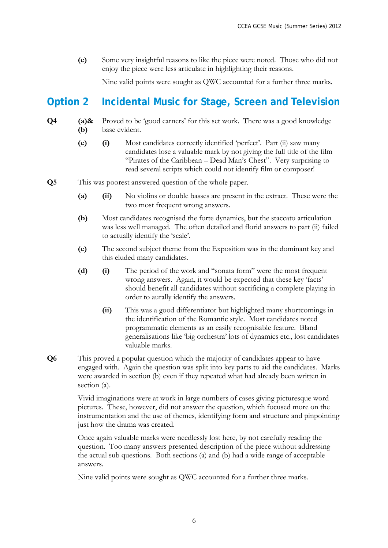**(c)** Some very insightful reasons to like the piece were noted. Those who did not enjoy the piece were less articulate in highlighting their reasons.

Nine valid points were sought as QWC accounted for a further three marks.

### **Option 2 Incidental Music for Stage, Screen and Television**

#### **Q4 (a)& (b)**  Proved to be 'good earners' for this set work. There was a good knowledge base evident.

- **(c) (i)** Most candidates correctly identified 'perfect'. Part (ii) saw many candidates lose a valuable mark by not giving the full title of the film "Pirates of the Caribbean – Dead Man's Chest". Very surprising to read several scripts which could not identify film or composer!
- **Q5** This was poorest answered question of the whole paper.
	- **(a) (ii)** No violins or double basses are present in the extract. These were the two most frequent wrong answers.
	- **(b)** Most candidates recognised the forte dynamics, but the staccato articulation was less well managed. The often detailed and florid answers to part (ii) failed to actually identify the 'scale'.
	- **(c)** The second subject theme from the Exposition was in the dominant key and this eluded many candidates.
	- **(d) (i)** The period of the work and "sonata form" were the most frequent wrong answers. Again, it would be expected that these key 'facts' should benefit all candidates without sacrificing a complete playing in order to aurally identify the answers.
		- **(ii)** This was a good differentiator but highlighted many shortcomings in the identification of the Romantic style. Most candidates noted programmatic elements as an easily recognisable feature. Bland generalisations like 'big orchestra' lots of dynamics etc., lost candidates valuable marks.
- **Q6** This proved a popular question which the majority of candidates appear to have engaged with. Again the question was split into key parts to aid the candidates. Marks were awarded in section (b) even if they repeated what had already been written in section (a).

Vivid imaginations were at work in large numbers of cases giving picturesque word pictures. These, however, did not answer the question, which focused more on the instrumentation and the use of themes, identifying form and structure and pinpointing just how the drama was created.

Once again valuable marks were needlessly lost here, by not carefully reading the question. Too many answers presented description of the piece without addressing the actual sub questions. Both sections (a) and (b) had a wide range of acceptable answers.

Nine valid points were sought as QWC accounted for a further three marks.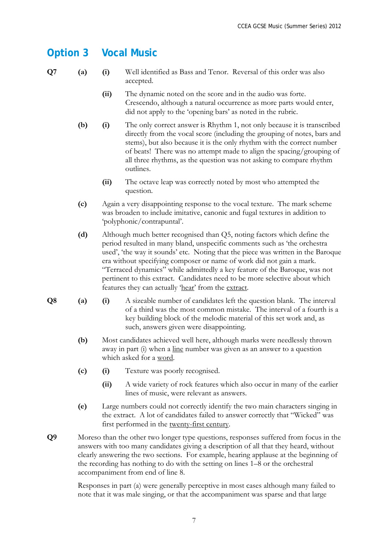### **Option 3 Vocal Music**

- 
- **Q7 (a) (i)** Well identified as Bass and Tenor. Reversal of this order was also accepted.
	- **(ii)** The dynamic noted on the score and in the audio was forte. Crescendo, although a natural occurrence as more parts would enter, did not apply to the 'opening bars' as noted in the rubric.
	- **(b) (i)** The only correct answer is Rhythm 1, not only because it is transcribed directly from the vocal score (including the grouping of notes, bars and stems), but also because it is the only rhythm with the correct number of beats! There was no attempt made to align the spacing/grouping of all three rhythms, as the question was not asking to compare rhythm outlines.
		- **(ii)** The octave leap was correctly noted by most who attempted the question.
	- **(c)** Again a very disappointing response to the vocal texture. The mark scheme was broaden to include imitative, canonic and fugal textures in addition to 'polyphonic/contrapuntal'.
	- **(d)** Although much better recognised than Q5, noting factors which define the period resulted in many bland, unspecific comments such as 'the orchestra used', 'the way it sounds' etc. Noting that the piece was written in the Baroque era without specifying composer or name of work did not gain a mark. "Terraced dynamics" while admittedly a key feature of the Baroque, was not pertinent to this extract. Candidates need to be more selective about which features they can actually 'hear' from the extract.
- **Q8 (a) (i)** A sizeable number of candidates left the question blank. The interval of a third was the most common mistake. The interval of a fourth is a key building block of the melodic material of this set work and, as such, answers given were disappointing.
	- **(b)** Most candidates achieved well here, although marks were needlessly thrown away in part (i) when a line number was given as an answer to a question which asked for a word.
	- **(c) (i)** Texture was poorly recognised.
		- **(ii)** A wide variety of rock features which also occur in many of the earlier lines of music, were relevant as answers.
	- **(e)** Large numbers could not correctly identify the two main characters singing in the extract. A lot of candidates failed to answer correctly that "Wicked" was first performed in the twenty-first century.
- **Q9** Moreso than the other two longer type questions, responses suffered from focus in the answers with too many candidates giving a description of all that they heard, without clearly answering the two sections. For example, hearing applause at the beginning of the recording has nothing to do with the setting on lines 1–8 or the orchestral accompaniment from end of line 8.

Responses in part (a) were generally perceptive in most cases although many failed to note that it was male singing, or that the accompaniment was sparse and that large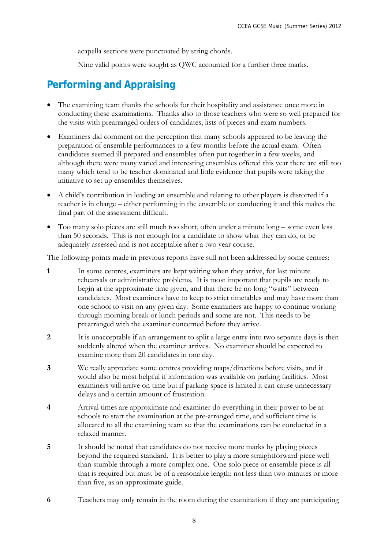acapella sections were punctuated by string chords.

Nine valid points were sought as QWC accounted for a further three marks.

## **Performing and Appraising**

- The examining team thanks the schools for their hospitality and assistance once more in conducting these examinations. Thanks also to those teachers who were so well prepared for the visits with prearranged orders of candidates, lists of pieces and exam numbers.
- Examiners did comment on the perception that many schools appeared to be leaving the preparation of ensemble performances to a few months before the actual exam. Often candidates seemed ill prepared and ensembles often put together in a few weeks, and although there were many varied and interesting ensembles offered this year there are still too many which tend to be teacher dominated and little evidence that pupils were taking the initiative to set up ensembles themselves.
- A child's contribution in leading an ensemble and relating to other players is distorted if a teacher is in charge – either performing in the ensemble or conducting it and this makes the final part of the assessment difficult.
- Too many solo pieces are still much too short, often under a minute long some even less than 50 seconds. This is not enough for a candidate to show what they can do, or be adequately assessed and is not acceptable after a two year course.

The following points made in previous reports have still not been addressed by some centres:

- **1** In some centres, examiners are kept waiting when they arrive, for last minute rehearsals or administrative problems. It is most important that pupils are ready to begin at the approximate time given, and that there be no long "waits" between candidates. Most examiners have to keep to strict timetables and may have more than one school to visit on any given day. Some examiners are happy to continue working through morning break or lunch periods and some are not. This needs to be prearranged with the examiner concerned before they arrive.
- **2** It is unacceptable if an arrangement to split a large entry into two separate days is then suddenly altered when the examiner arrives. No examiner should be expected to examine more than 20 candidates in one day.
- **3** We really appreciate some centres providing maps/directions before visits, and it would also be most helpful if information was available on parking facilities. Most examiners will arrive on time but if parking space is limited it can cause unnecessary delays and a certain amount of frustration.
- **4** Arrival times are approximate and examiner do everything in their power to be at schools to start the examination at the pre-arranged time, and sufficient time is allocated to all the examining team so that the examinations can be conducted in a relaxed manner.
- **5** It should be noted that candidates do not receive more marks by playing pieces beyond the required standard. It is better to play a more straightforward piece well than stumble through a more complex one. One solo piece or ensemble piece is all that is required but must be of a reasonable length: not less than two minutes or more than five, as an approximate guide.
- **6** Teachers may only remain in the room during the examination if they are participating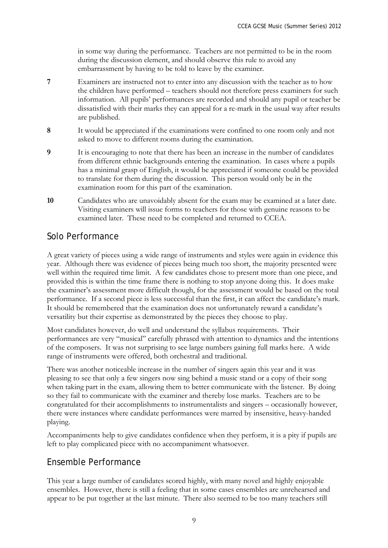in some way during the performance. Teachers are not permitted to be in the room during the discussion element, and should observe this rule to avoid any embarrassment by having to be told to leave by the examiner.

- **7** Examiners are instructed not to enter into any discussion with the teacher as to how the children have performed – teachers should not therefore press examiners for such information. All pupils' performances are recorded and should any pupil or teacher be dissatisfied with their marks they can appeal for a re-mark in the usual way after results are published.
- **8** It would be appreciated if the examinations were confined to one room only and not asked to move to different rooms during the examination.
- **9** It is encouraging to note that there has been an increase in the number of candidates from different ethnic backgrounds entering the examination. In cases where a pupils has a minimal grasp of English, it would be appreciated if someone could be provided to translate for them during the discussion. This person would only be in the examination room for this part of the examination.
- **10** Candidates who are unavoidably absent for the exam may be examined at a later date. Visiting examiners will issue forms to teachers for those with genuine reasons to be examined later. These need to be completed and returned to CCEA.

#### Solo Performance

A great variety of pieces using a wide range of instruments and styles were again in evidence this year. Although there was evidence of pieces being much too short, the majority presented were well within the required time limit. A few candidates chose to present more than one piece, and provided this is within the time frame there is nothing to stop anyone doing this. It does make the examiner's assessment more difficult though, for the assessment would be based on the total performance. If a second piece is less successful than the first, it can affect the candidate's mark. It should be remembered that the examination does not unfortunately reward a candidate's versatility but their expertise as demonstrated by the pieces they choose to play.

Most candidates however, do well and understand the syllabus requirements. Their performances are very "musical" carefully phrased with attention to dynamics and the intentions of the composers. It was not surprising to see large numbers gaining full marks here. A wide range of instruments were offered, both orchestral and traditional.

There was another noticeable increase in the number of singers again this year and it was pleasing to see that only a few singers now sing behind a music stand or a copy of their song when taking part in the exam, allowing them to better communicate with the listener. By doing so they fail to communicate with the examiner and thereby lose marks. Teachers are to be congratulated for their accomplishments to instrumentalists and singers – occasionally however, there were instances where candidate performances were marred by insensitive, heavy-handed playing.

Accompaniments help to give candidates confidence when they perform, it is a pity if pupils are left to play complicated piece with no accompaniment whatsoever.

### Ensemble Performance

This year a large number of candidates scored highly, with many novel and highly enjoyable ensembles. However, there is still a feeling that in some cases ensembles are unrehearsed and appear to be put together at the last minute. There also seemed to be too many teachers still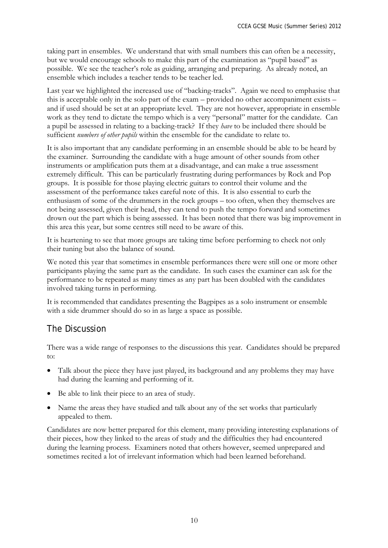taking part in ensembles. We understand that with small numbers this can often be a necessity, but we would encourage schools to make this part of the examination as "pupil based" as possible. We see the teacher's role as guiding, arranging and preparing. As already noted, an ensemble which includes a teacher tends to be teacher led.

Last year we highlighted the increased use of "backing-tracks". Again we need to emphasise that this is acceptable only in the solo part of the exam – provided no other accompaniment exists – and if used should be set at an appropriate level. They are not however, appropriate in ensemble work as they tend to dictate the tempo which is a very "personal" matter for the candidate. Can a pupil be assessed in relating to a backing-track? If they *have* to be included there should be sufficient *numbers of other pupils* within the ensemble for the candidate to relate to.

It is also important that any candidate performing in an ensemble should be able to be heard by the examiner. Surrounding the candidate with a huge amount of other sounds from other instruments or amplification puts them at a disadvantage, and can make a true assessment extremely difficult. This can be particularly frustrating during performances by Rock and Pop groups. It is possible for those playing electric guitars to control their volume and the assessment of the performance takes careful note of this. It is also essential to curb the enthusiasm of some of the drummers in the rock groups – too often, when they themselves are not being assessed, given their head, they can tend to push the tempo forward and sometimes drown out the part which is being assessed. It has been noted that there was big improvement in this area this year, but some centres still need to be aware of this.

It is heartening to see that more groups are taking time before performing to check not only their tuning but also the balance of sound.

We noted this year that sometimes in ensemble performances there were still one or more other participants playing the same part as the candidate. In such cases the examiner can ask for the performance to be repeated as many times as any part has been doubled with the candidates involved taking turns in performing.

It is recommended that candidates presenting the Bagpipes as a solo instrument or ensemble with a side drummer should do so in as large a space as possible.

### The Discussion

There was a wide range of responses to the discussions this year. Candidates should be prepared to:

- Talk about the piece they have just played, its background and any problems they may have had during the learning and performing of it.
- Be able to link their piece to an area of study.
- Name the areas they have studied and talk about any of the set works that particularly appealed to them.

Candidates are now better prepared for this element, many providing interesting explanations of their pieces, how they linked to the areas of study and the difficulties they had encountered during the learning process. Examiners noted that others however, seemed unprepared and sometimes recited a lot of irrelevant information which had been learned beforehand.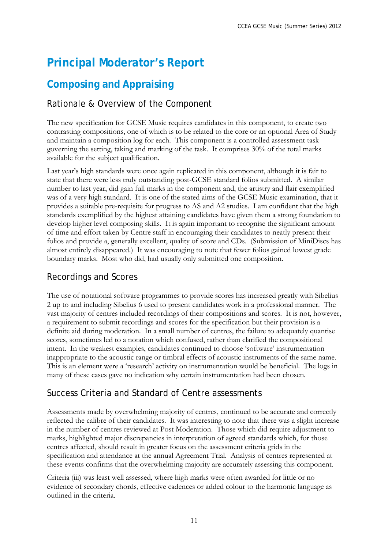# **Principal Moderator's Report**

### **Composing and Appraising**

### Rationale & Overview of the Component

The new specification for GCSE Music requires candidates in this component, to create two contrasting compositions, one of which is to be related to the core or an optional Area of Study and maintain a composition log for each. This component is a controlled assessment task governing the setting, taking and marking of the task. It comprises 30% of the total marks available for the subject qualification.

Last year's high standards were once again replicated in this component, although it is fair to state that there were less truly outstanding post-GCSE standard folios submitted. A similar number to last year, did gain full marks in the component and, the artistry and flair exemplified was of a very high standard. It is one of the stated aims of the GCSE Music examination, that it provides a suitable pre-requisite for progress to AS and A2 studies. I am confident that the high standards exemplified by the highest attaining candidates have given them a strong foundation to develop higher level composing skills. It is again important to recognise the significant amount of time and effort taken by Centre staff in encouraging their candidates to neatly present their folios and provide a, generally excellent, quality of score and CDs. (Submission of MiniDiscs has almost entirely disappeared.) It was encouraging to note that fewer folios gained lowest grade boundary marks. Most who did, had usually only submitted one composition.

#### Recordings and Scores

The use of notational software programmes to provide scores has increased greatly with Sibelius 2 up to and including Sibelius 6 used to present candidates work in a professional manner. The vast majority of centres included recordings of their compositions and scores. It is not, however, a requirement to submit recordings and scores for the specification but their provision is a definite aid during moderation. In a small number of centres, the failure to adequately quantise scores, sometimes led to a notation which confused, rather than clarified the compositional intent. In the weakest examples, candidates continued to choose 'software' instrumentation inappropriate to the acoustic range or timbral effects of acoustic instruments of the same name. This is an element were a 'research' activity on instrumentation would be beneficial. The logs in many of these cases gave no indication why certain instrumentation had been chosen.

#### Success Criteria and Standard of Centre assessments

Assessments made by overwhelming majority of centres, continued to be accurate and correctly reflected the calibre of their candidates. It was interesting to note that there was a slight increase in the number of centres reviewed at Post Moderation. Those which did require adjustment to marks, highlighted major discrepancies in interpretation of agreed standards which, for those centres affected, should result in greater focus on the assessment criteria grids in the specification and attendance at the annual Agreement Trial. Analysis of centres represented at these events confirms that the overwhelming majority are accurately assessing this component.

Criteria (iii) was least well assessed, where high marks were often awarded for little or no evidence of secondary chords, effective cadences or added colour to the harmonic language as outlined in the criteria.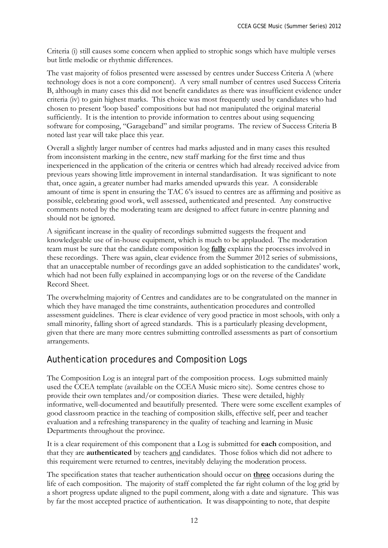Criteria (i) still causes some concern when applied to strophic songs which have multiple verses but little melodic or rhythmic differences.

The vast majority of folios presented were assessed by centres under Success Criteria A (where technology does is not a core component). A very small number of centres used Success Criteria B, although in many cases this did not benefit candidates as there was insufficient evidence under criteria (iv) to gain highest marks. This choice was most frequently used by candidates who had chosen to present 'loop based' compositions but had not manipulated the original material sufficiently. It is the intention to provide information to centres about using sequencing software for composing, "Garageband" and similar programs. The review of Success Criteria B noted last year will take place this year.

Overall a slightly larger number of centres had marks adjusted and in many cases this resulted from inconsistent marking in the centre, new staff marking for the first time and thus inexperienced in the application of the criteria or centres which had already received advice from previous years showing little improvement in internal standardisation. It was significant to note that, once again, a greater number had marks amended upwards this year. A considerable amount of time is spent in ensuring the TAC 6's issued to centres are as affirming and positive as possible, celebrating good work, well assessed, authenticated and presented. Any constructive comments noted by the moderating team are designed to affect future in-centre planning and should not be ignored.

A significant increase in the quality of recordings submitted suggests the frequent and knowledgeable use of in-house equipment, which is much to be applauded. The moderation team must be sure that the candidate composition log **fully** explains the processes involved in these recordings. There was again, clear evidence from the Summer 2012 series of submissions, that an unacceptable number of recordings gave an added sophistication to the candidates' work, which had not been fully explained in accompanying logs or on the reverse of the Candidate Record Sheet.

The overwhelming majority of Centres and candidates are to be congratulated on the manner in which they have managed the time constraints, authentication procedures and controlled assessment guidelines. There is clear evidence of very good practice in most schools, with only a small minority, falling short of agreed standards. This is a particularly pleasing development, given that there are many more centres submitting controlled assessments as part of consortium arrangements.

### Authentication procedures and Composition Logs

The Composition Log is an integral part of the composition process. Logs submitted mainly used the CCEA template (available on the CCEA Music micro site). Some centres chose to provide their own templates and/or composition diaries. These were detailed, highly informative, well-documented and beautifully presented. There were some excellent examples of good classroom practice in the teaching of composition skills, effective self, peer and teacher evaluation and a refreshing transparency in the quality of teaching and learning in Music Departments throughout the province.

It is a clear requirement of this component that a Log is submitted for **each** composition, and that they are **authenticated** by teachers and candidates. Those folios which did not adhere to this requirement were returned to centres, inevitably delaying the moderation process.

The specification states that teacher authentication should occur on **three** occasions during the life of each composition. The majority of staff completed the far right column of the log grid by a short progress update aligned to the pupil comment, along with a date and signature. This was by far the most accepted practice of authentication. It was disappointing to note, that despite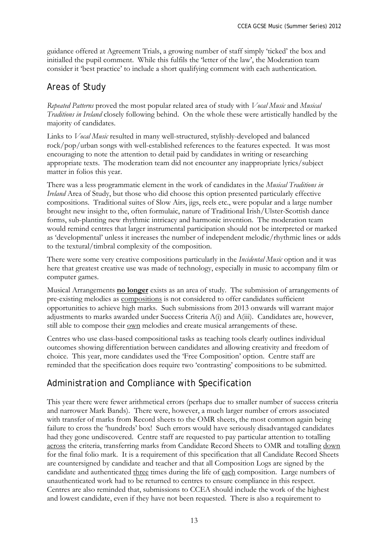guidance offered at Agreement Trials, a growing number of staff simply 'ticked' the box and initialled the pupil comment. While this fulfils the 'letter of the law', the Moderation team consider it 'best practice' to include a short qualifying comment with each authentication.

### Areas of Study

*Repeated Patterns* proved the most popular related area of study with *Vocal Music* and *Musical Traditions in Ireland* closely following behind. On the whole these were artistically handled by the majority of candidates.

Links to *Vocal Music* resulted in many well-structured, stylishly-developed and balanced rock/pop/urban songs with well-established references to the features expected. It was most encouraging to note the attention to detail paid by candidates in writing or researching appropriate texts. The moderation team did not encounter any inappropriate lyrics/subject matter in folios this year.

There was a less programmatic element in the work of candidates in the *Musical Traditions in Ireland* Area of Study, but those who did choose this option presented particularly effective compositions. Traditional suites of Slow Airs, jigs, reels etc., were popular and a large number brought new insight to the, often formulaic, nature of Traditional Irish/Ulster-Scottish dance forms, sub-planting new rhythmic intricacy and harmonic invention. The moderation team would remind centres that larger instrumental participation should not be interpreted or marked as 'developmental' unless it increases the number of independent melodic/rhythmic lines or adds to the textural/timbral complexity of the composition.

There were some very creative compositions particularly in the *Incidental Music* option and it was here that greatest creative use was made of technology, especially in music to accompany film or computer games.

Musical Arrangements **no longer** exists as an area of study. The submission of arrangements of pre-existing melodies as compositions is not considered to offer candidates sufficient opportunities to achieve high marks. Such submissions from 2013 onwards will warrant major adjustments to marks awarded under Success Criteria A(i) and A(iii). Candidates are, however, still able to compose their own melodies and create musical arrangements of these.

Centres who use class-based compositional tasks as teaching tools clearly outlines individual outcomes showing differentiation between candidates and allowing creativity and freedom of choice. This year, more candidates used the 'Free Composition' option. Centre staff are reminded that the specification does require two 'contrasting' compositions to be submitted.

### Administration and Compliance with Specification

This year there were fewer arithmetical errors (perhaps due to smaller number of success criteria and narrower Mark Bands). There were, however, a much larger number of errors associated with transfer of marks from Record sheets to the OMR sheets, the most common again being failure to cross the 'hundreds' box! Such errors would have seriously disadvantaged candidates had they gone undiscovered. Centre staff are requested to pay particular attention to totalling across the criteria, transferring marks from Candidate Record Sheets to OMR and totalling down for the final folio mark. It is a requirement of this specification that all Candidate Record Sheets are countersigned by candidate and teacher and that all Composition Logs are signed by the candidate and authenticated three times during the life of each composition. Large numbers of unauthenticated work had to be returned to centres to ensure compliance in this respect. Centres are also reminded that, submissions to CCEA should include the work of the highest and lowest candidate, even if they have not been requested. There is also a requirement to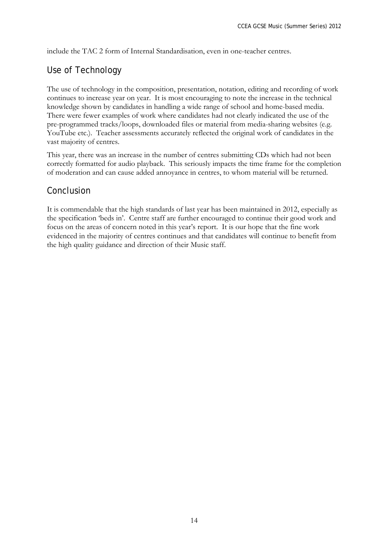include the TAC 2 form of Internal Standardisation, even in one-teacher centres.

#### Use of Technology

The use of technology in the composition, presentation, notation, editing and recording of work continues to increase year on year. It is most encouraging to note the increase in the technical knowledge shown by candidates in handling a wide range of school and home-based media. There were fewer examples of work where candidates had not clearly indicated the use of the pre-programmed tracks/loops, downloaded files or material from media-sharing websites (e.g. YouTube etc.). Teacher assessments accurately reflected the original work of candidates in the vast majority of centres.

This year, there was an increase in the number of centres submitting CDs which had not been correctly formatted for audio playback. This seriously impacts the time frame for the completion of moderation and can cause added annoyance in centres, to whom material will be returned.

#### Conclusion

It is commendable that the high standards of last year has been maintained in 2012, especially as the specification 'beds in'. Centre staff are further encouraged to continue their good work and focus on the areas of concern noted in this year's report. It is our hope that the fine work evidenced in the majority of centres continues and that candidates will continue to benefit from the high quality guidance and direction of their Music staff.